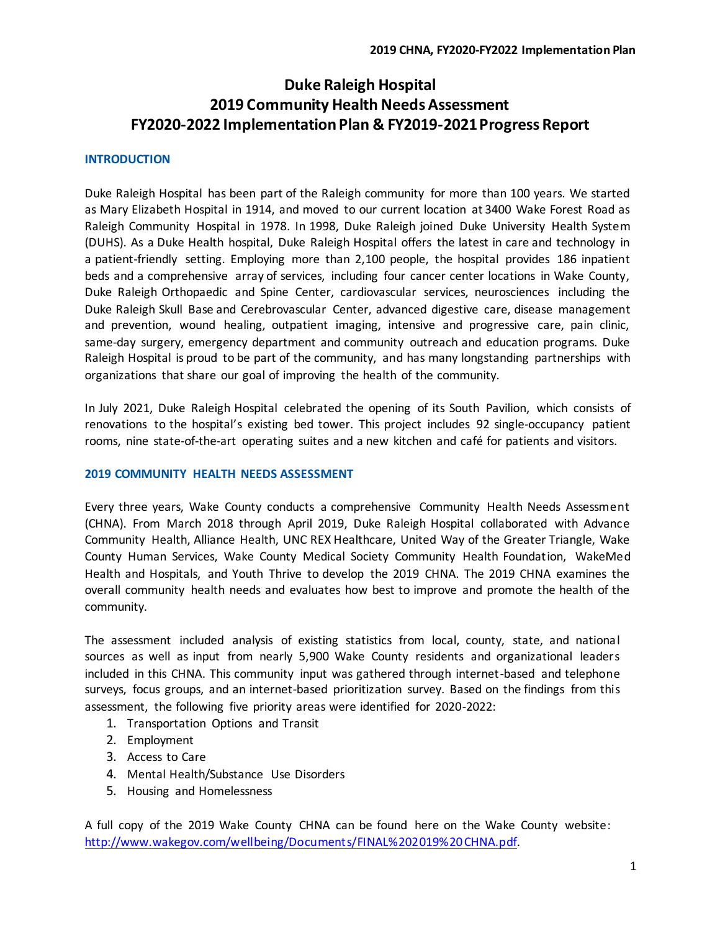# **Duke Raleigh Hospital 2019 Community Health Needs Assessment FY2020-2022 Implementation Plan & FY2019-2021Progress Report**

### **INTRODUCTION**

Duke Raleigh Hospital has been part of the Raleigh community for more than 100 years. We started as Mary Elizabeth Hospital in 1914, and moved to our current location at 3400 Wake Forest Road as Raleigh Community Hospital in 1978. In 1998, Duke Raleigh joined Duke University Health System (DUHS). As a Duke Health hospital, Duke Raleigh Hospital offers the latest in care and technology in a patient-friendly setting. Employing more than 2,100 people, the hospital provides 186 inpatient beds and a comprehensive array of services, including four cancer center locations in Wake County, Duke Raleigh Orthopaedic and Spine Center, cardiovascular services, neurosciences including the Duke Raleigh Skull Base and Cerebrovascular Center, advanced digestive care, disease management and prevention, wound healing, outpatient imaging, intensive and progressive care, pain clinic, same-day surgery, emergency department and community outreach and education programs. Duke Raleigh Hospital is proud to be part of the community, and has many longstanding partnerships with organizations that share our goal of improving the health of the community.

In July 2021, Duke Raleigh Hospital celebrated the opening of its South Pavilion, which consists of renovations to the hospital's existing bed tower. This project includes 92 single-occupancy patient rooms, nine state-of-the-art operating suites and a new kitchen and café for patients and visitors.

### **2019 COMMUNITY HEALTH NEEDS ASSESSMENT**

Every three years, Wake County conducts a comprehensive Community Health Needs Assessment (CHNA). From March 2018 through April 2019, Duke Raleigh Hospital collaborated with Advance Community Health, Alliance Health, UNC REX Healthcare, United Way of the Greater Triangle, Wake County Human Services, Wake County Medical Society Community Health Foundation, WakeMed Health and Hospitals, and Youth Thrive to develop the 2019 CHNA. The 2019 CHNA examines the overall community health needs and evaluates how best to improve and promote the health of the community.

The assessment included analysis of existing statistics from local, county, state, and national sources as well as input from nearly 5,900 Wake County residents and organizational leaders included in this CHNA. This community input was gathered through internet-based and telephone surveys, focus groups, and an internet-based prioritization survey. Based on the findings from this assessment, the following five priority areas were identified for 2020-2022:

- 1. Transportation Options and Transit
- 2. Employment
- 3. Access to Care
- 4. Mental Health/Substance Use Disorders
- 5. Housing and Homelessness

A full copy of the 2019 Wake County CHNA can be found here on the Wake County website: [http://www.wakegov.com/wellbeing/Documents/FINAL%202019%20CHNA.pdf.](http://www.wakegov.com/wellbeing/Documents/FINAL%202019%20CHNA.pdf)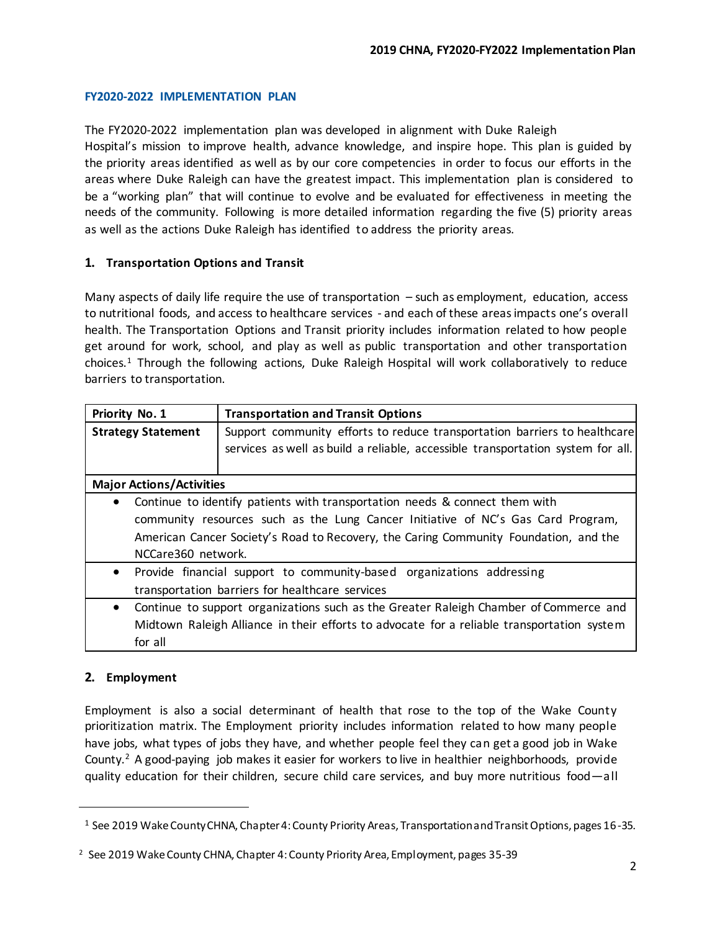# **FY2020-2022 IMPLEMENTATION PLAN**

The FY2020-2022 implementation plan was developed in alignment with Duke Raleigh Hospital's mission to improve health, advance knowledge, and inspire hope. This plan is guided by the priority areas identified as well as by our core competencies in order to focus our efforts in the areas where Duke Raleigh can have the greatest impact. This implementation plan is considered to be a "working plan" that will continue to evolve and be evaluated for effectiveness in meeting the needs of the community. Following is more detailed information regarding the five (5) priority areas as well as the actions Duke Raleigh has identified to address the priority areas.

# **1. Transportation Options and Transit**

Many aspects of daily life require the use of transportation – such as employment, education, access to nutritional foods, and access to healthcare services - and each of these areas impacts one's overall health. The Transportation Options and Transit priority includes information related to how people get around for work, school, and play as well as public transportation and other transportation choices.<sup>1</sup> Through the following actions, Duke Raleigh Hospital will work collaboratively to reduce barriers to transportation.

| Priority No. 1                  | <b>Transportation and Transit Options</b>                                                  |  |
|---------------------------------|--------------------------------------------------------------------------------------------|--|
| <b>Strategy Statement</b>       | Support community efforts to reduce transportation barriers to healthcare                  |  |
|                                 | services as well as build a reliable, accessible transportation system for all.            |  |
|                                 |                                                                                            |  |
| <b>Major Actions/Activities</b> |                                                                                            |  |
|                                 | Continue to identify patients with transportation needs & connect them with                |  |
|                                 | community resources such as the Lung Cancer Initiative of NC's Gas Card Program,           |  |
|                                 | American Cancer Society's Road to Recovery, the Caring Community Foundation, and the       |  |
| NCCare360 network.              |                                                                                            |  |
| $\bullet$                       | Provide financial support to community-based organizations addressing                      |  |
|                                 | transportation barriers for healthcare services                                            |  |
| $\bullet$                       | Continue to support organizations such as the Greater Raleigh Chamber of Commerce and      |  |
|                                 | Midtown Raleigh Alliance in their efforts to advocate for a reliable transportation system |  |
| for all                         |                                                                                            |  |

# **2. Employment**

l

Employment is also a social determinant of health that rose to the top of the Wake County prioritization matrix. The Employment priority includes information related to how many people have jobs, what types of jobs they have, and whether people feel they can get a good job in Wake County.<sup>2</sup> A good-paying job makes it easier for workers to live in healthier neighborhoods, provide quality education for their children, secure child care services, and buy more nutritious food—all

<sup>1</sup> See 2019 Wake County CHNA, Chapter 4: County Priority Areas, Transportation and Transit Options, pages 16-35.

<sup>&</sup>lt;sup>2</sup> See 2019 Wake County CHNA, Chapter 4: County Priority Area, Employment, pages 35-39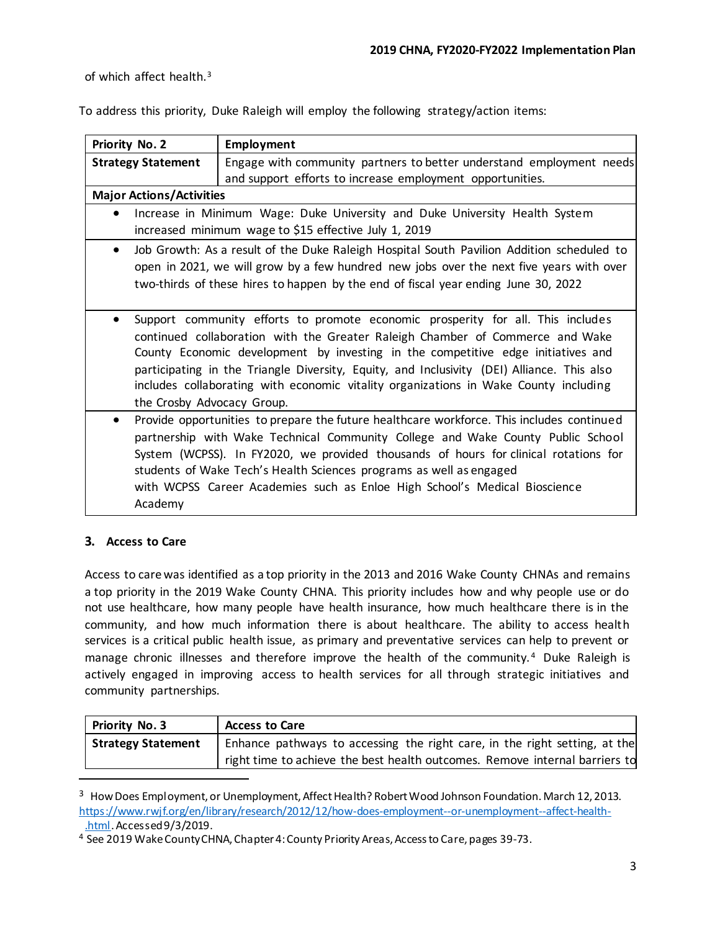of which affect health.<sup>3</sup>

To address this priority, Duke Raleigh will employ the following strategy/action items:

| Priority No. 2                                                                                         | <b>Employment</b>                                                                          |  |
|--------------------------------------------------------------------------------------------------------|--------------------------------------------------------------------------------------------|--|
| <b>Strategy Statement</b>                                                                              | Engage with community partners to better understand employment needs                       |  |
|                                                                                                        | and support efforts to increase employment opportunities.                                  |  |
| <b>Major Actions/Activities</b>                                                                        |                                                                                            |  |
| $\bullet$                                                                                              | Increase in Minimum Wage: Duke University and Duke University Health System                |  |
|                                                                                                        | increased minimum wage to \$15 effective July 1, 2019                                      |  |
| Job Growth: As a result of the Duke Raleigh Hospital South Pavilion Addition scheduled to<br>$\bullet$ |                                                                                            |  |
|                                                                                                        | open in 2021, we will grow by a few hundred new jobs over the next five years with over    |  |
|                                                                                                        | two-thirds of these hires to happen by the end of fiscal year ending June 30, 2022         |  |
|                                                                                                        |                                                                                            |  |
| $\bullet$                                                                                              | Support community efforts to promote economic prosperity for all. This includes            |  |
|                                                                                                        | continued collaboration with the Greater Raleigh Chamber of Commerce and Wake              |  |
|                                                                                                        | County Economic development by investing in the competitive edge initiatives and           |  |
|                                                                                                        | participating in the Triangle Diversity, Equity, and Inclusivity (DEI) Alliance. This also |  |
|                                                                                                        | includes collaborating with economic vitality organizations in Wake County including       |  |
| the Crosby Advocacy Group.                                                                             |                                                                                            |  |
| $\bullet$                                                                                              | Provide opportunities to prepare the future healthcare workforce. This includes continued  |  |
|                                                                                                        | partnership with Wake Technical Community College and Wake County Public School            |  |
|                                                                                                        | System (WCPSS). In FY2020, we provided thousands of hours for clinical rotations for       |  |
|                                                                                                        | students of Wake Tech's Health Sciences programs as well as engaged                        |  |
|                                                                                                        | with WCPSS Career Academies such as Enloe High School's Medical Bioscience                 |  |
| Academy                                                                                                |                                                                                            |  |

# **3. Access to Care**

Access to care was identified as a top priority in the 2013 and 2016 Wake County CHNAs and remains a top priority in the 2019 Wake County CHNA. This priority includes how and why people use or do not use healthcare, how many people have health insurance, how much healthcare there is in the community, and how much information there is about healthcare. The ability to access health services is a critical public health issue, as primary and preventative services can help to prevent or manage chronic illnesses and therefore improve the health of the community.<sup>4</sup> Duke Raleigh is actively engaged in improving access to health services for all through strategic initiatives and community partnerships.

| <b>Priority No. 3</b>     | <b>Access to Care</b>                                                       |
|---------------------------|-----------------------------------------------------------------------------|
| <b>Strategy Statement</b> | Enhance pathways to accessing the right care, in the right setting, at the  |
|                           | right time to achieve the best health outcomes. Remove internal barriers to |
|                           |                                                                             |

<sup>&</sup>lt;sup>3</sup> How Does Employment, or Unemployment, Affect Health? Robert Wood Johnson Foundation. March 12, 2013. [https://www.rwjf.org/en/library/research/2012/12/how-does-employment--or-unemployment--affect-health-](https://www.rwjf.org/en/library/research/2012/12/how-does-employment--or-unemployment--affect-health-.html) [.html. A](https://www.rwjf.org/en/library/research/2012/12/how-does-employment--or-unemployment--affect-health-.html)ccessed 9/3/2019.

<sup>4</sup> See 2019 Wake County CHNA, Chapter 4: County Priority Areas, Access to Care, pages 39-73.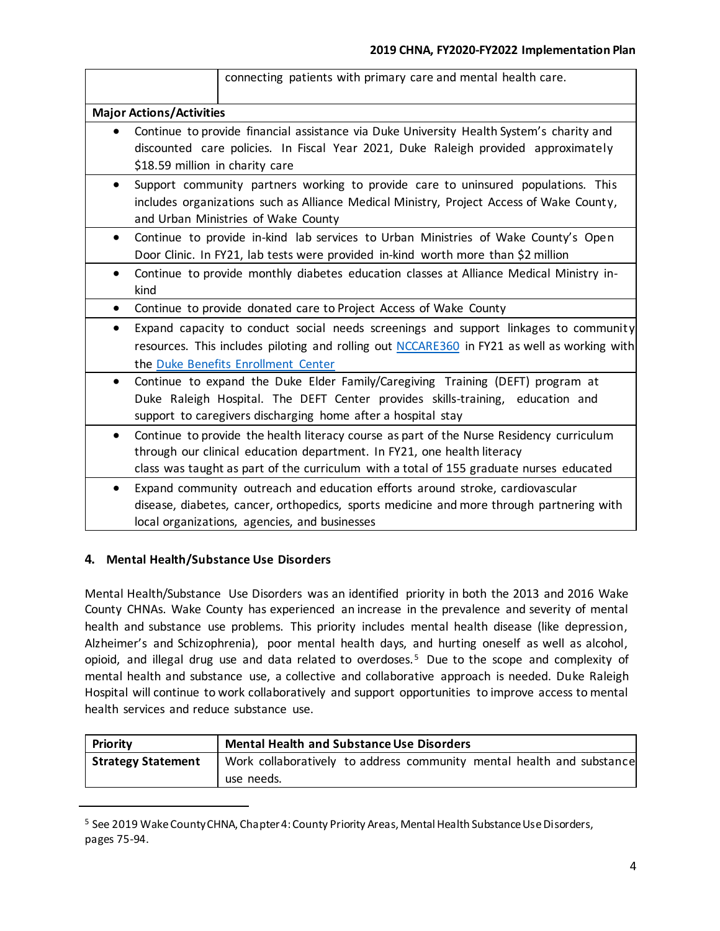|                                 |                                                                                                                                                                                                                      | connecting patients with primary care and mental health care.                                                                                                                                                                                                  |  |
|---------------------------------|----------------------------------------------------------------------------------------------------------------------------------------------------------------------------------------------------------------------|----------------------------------------------------------------------------------------------------------------------------------------------------------------------------------------------------------------------------------------------------------------|--|
| <b>Major Actions/Activities</b> |                                                                                                                                                                                                                      |                                                                                                                                                                                                                                                                |  |
|                                 | Continue to provide financial assistance via Duke University Health System's charity and<br>discounted care policies. In Fiscal Year 2021, Duke Raleigh provided approximately<br>\$18.59 million in charity care    |                                                                                                                                                                                                                                                                |  |
| $\bullet$                       | Support community partners working to provide care to uninsured populations. This<br>includes organizations such as Alliance Medical Ministry, Project Access of Wake County,<br>and Urban Ministries of Wake County |                                                                                                                                                                                                                                                                |  |
| $\bullet$                       |                                                                                                                                                                                                                      | Continue to provide in-kind lab services to Urban Ministries of Wake County's Open<br>Door Clinic. In FY21, lab tests were provided in-kind worth more than \$2 million                                                                                        |  |
| $\bullet$                       | kind                                                                                                                                                                                                                 | Continue to provide monthly diabetes education classes at Alliance Medical Ministry in-                                                                                                                                                                        |  |
| $\bullet$                       |                                                                                                                                                                                                                      | Continue to provide donated care to Project Access of Wake County                                                                                                                                                                                              |  |
| $\bullet$                       |                                                                                                                                                                                                                      | Expand capacity to conduct social needs screenings and support linkages to community<br>resources. This includes piloting and rolling out NCCARE360 in FY21 as well as working with<br>the Duke Benefits Enrollment Center                                     |  |
| $\bullet$                       |                                                                                                                                                                                                                      | Continue to expand the Duke Elder Family/Caregiving Training (DEFT) program at<br>Duke Raleigh Hospital. The DEFT Center provides skills-training, education and<br>support to caregivers discharging home after a hospital stay                               |  |
| $\bullet$                       |                                                                                                                                                                                                                      | Continue to provide the health literacy course as part of the Nurse Residency curriculum<br>through our clinical education department. In FY21, one health literacy<br>class was taught as part of the curriculum with a total of 155 graduate nurses educated |  |
| $\bullet$                       |                                                                                                                                                                                                                      | Expand community outreach and education efforts around stroke, cardiovascular<br>disease, diabetes, cancer, orthopedics, sports medicine and more through partnering with<br>local organizations, agencies, and businesses                                     |  |

# **4. Mental Health/Substance Use Disorders**

l

Mental Health/Substance Use Disorders was an identified priority in both the 2013 and 2016 Wake County CHNAs. Wake County has experienced an increase in the prevalence and severity of mental health and substance use problems. This priority includes mental health disease (like depression, Alzheimer's and Schizophrenia), poor mental health days, and hurting oneself as well as alcohol, opioid, and illegal drug use and data related to overdoses.<sup>5</sup> Due to the scope and complexity of mental health and substance use, a collective and collaborative approach is needed. Duke Raleigh Hospital will continue to work collaboratively and support opportunities to improve access to mental health services and reduce substance use.

| Priority                  | <b>Mental Health and Substance Use Disorders</b>                      |  |
|---------------------------|-----------------------------------------------------------------------|--|
| <b>Strategy Statement</b> | Work collaboratively to address community mental health and substance |  |
|                           | use needs.                                                            |  |

<sup>5</sup> See 2019 Wake County CHNA, Chapter 4: County Priority Areas, Mental Health Substance Use Disorders, pages 75-94.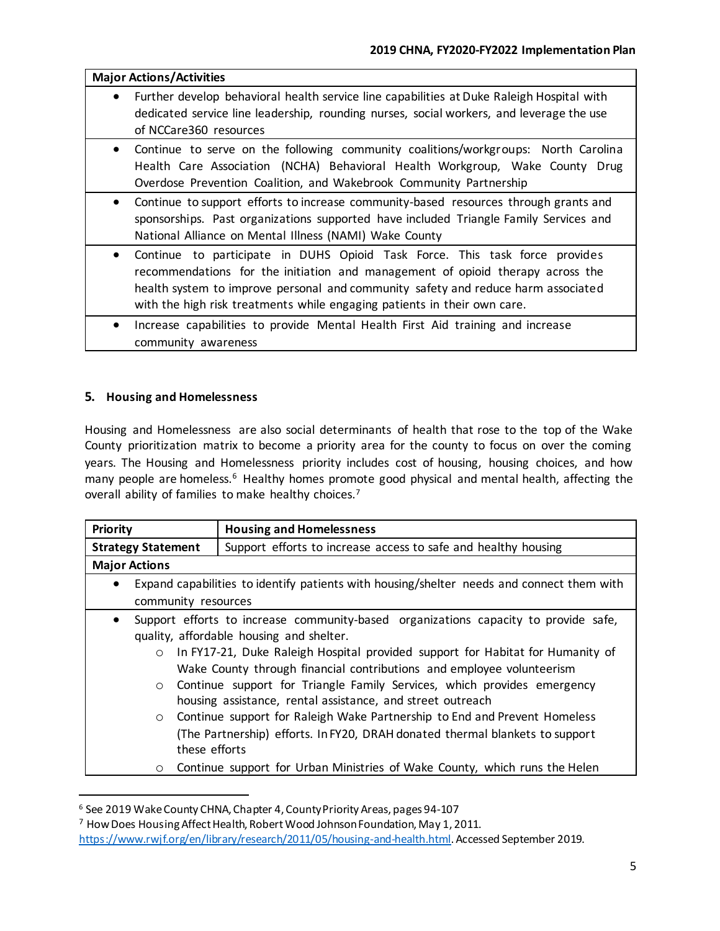| <b>Major Actions/Activities</b> |                                                                                                                                                                                                                                                                                                                                |
|---------------------------------|--------------------------------------------------------------------------------------------------------------------------------------------------------------------------------------------------------------------------------------------------------------------------------------------------------------------------------|
| $\bullet$                       | Further develop behavioral health service line capabilities at Duke Raleigh Hospital with<br>dedicated service line leadership, rounding nurses, social workers, and leverage the use<br>of NCCare360 resources                                                                                                                |
| $\bullet$                       | Continue to serve on the following community coalitions/workgroups: North Carolina<br>Health Care Association (NCHA) Behavioral Health Workgroup, Wake County<br>Drug<br>Overdose Prevention Coalition, and Wakebrook Community Partnership                                                                                    |
| $\bullet$                       | Continue to support efforts to increase community-based resources through grants and<br>sponsorships. Past organizations supported have included Triangle Family Services and<br>National Alliance on Mental Illness (NAMI) Wake County                                                                                        |
| $\bullet$                       | Continue to participate in DUHS Opioid Task Force. This task force provides<br>recommendations for the initiation and management of opioid therapy across the<br>health system to improve personal and community safety and reduce harm associated<br>with the high risk treatments while engaging patients in their own care. |
| $\bullet$                       | Increase capabilities to provide Mental Health First Aid training and increase<br>community awareness                                                                                                                                                                                                                          |

# **5. Housing and Homelessness**

l

Housing and Homelessness are also social determinants of health that rose to the top of the Wake County prioritization matrix to become a priority area for the county to focus on over the coming years. The Housing and Homelessness priority includes cost of housing, housing choices, and how many people are homeless.<sup>6</sup> Healthy homes promote good physical and mental health, affecting the overall ability of families to make healthy choices.<sup>7</sup>

| <b>Priority</b>                                                                                  | <b>Housing and Homelessness</b>                                                |  |
|--------------------------------------------------------------------------------------------------|--------------------------------------------------------------------------------|--|
| <b>Strategy Statement</b>                                                                        | Support efforts to increase access to safe and healthy housing                 |  |
| <b>Major Actions</b>                                                                             |                                                                                |  |
| Expand capabilities to identify patients with housing/shelter needs and connect them with        |                                                                                |  |
|                                                                                                  | community resources                                                            |  |
| Support efforts to increase community-based organizations capacity to provide safe,<br>$\bullet$ |                                                                                |  |
| quality, affordable housing and shelter.                                                         |                                                                                |  |
| $\circ$                                                                                          | In FY17-21, Duke Raleigh Hospital provided support for Habitat for Humanity of |  |
|                                                                                                  | Wake County through financial contributions and employee volunteerism          |  |
| $\circ$                                                                                          | Continue support for Triangle Family Services, which provides emergency        |  |
|                                                                                                  | housing assistance, rental assistance, and street outreach                     |  |
| $\circ$                                                                                          | Continue support for Raleigh Wake Partnership to End and Prevent Homeless      |  |
|                                                                                                  | (The Partnership) efforts. In FY20, DRAH donated thermal blankets to support   |  |
| these efforts                                                                                    |                                                                                |  |
|                                                                                                  |                                                                                |  |
| $\circ$                                                                                          | Continue support for Urban Ministries of Wake County, which runs the Helen     |  |

<sup>6</sup> See 2019 Wake County CHNA, Chapter 4, County Priority Areas, pages 94-107

<sup>7</sup> How Does Housing Affect Health, Robert Wood Johnson Foundation, May 1, 2011. [https://www.rwjf.org/en/library/research/2011/05/housing-and-health.html.](https://www.rwjf.org/en/library/research/2011/05/housing-and-health.html) Accessed September 2019.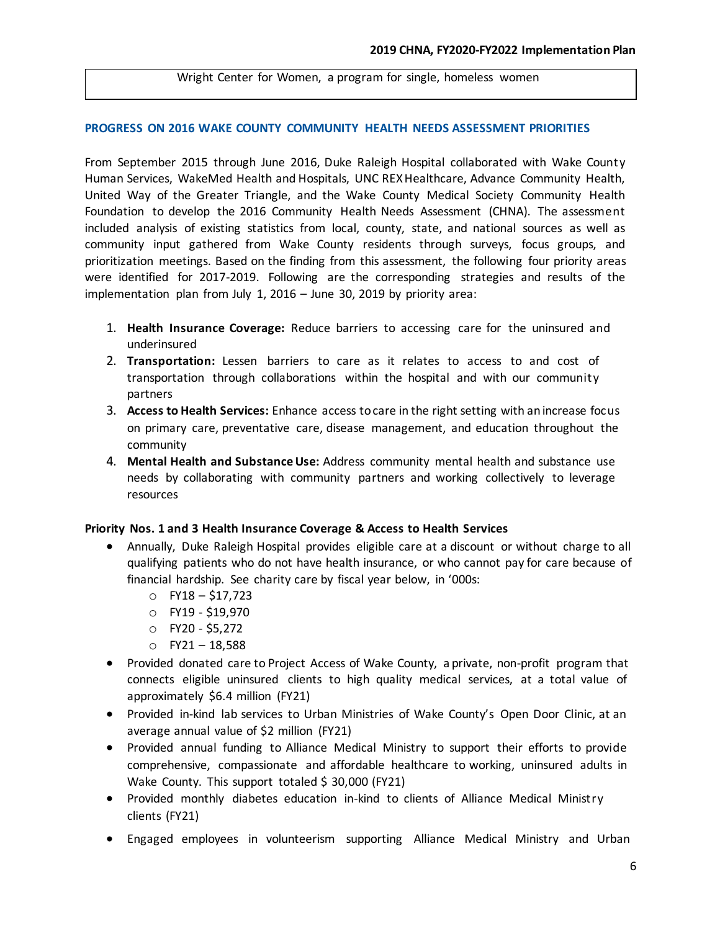#### Wright Center for Women, a program for single, homeless women

#### **PROGRESS ON 2016 WAKE COUNTY COMMUNITY HEALTH NEEDS ASSESSMENT PRIORITIES**

From September 2015 through June 2016, Duke Raleigh Hospital collaborated with Wake County Human Services, WakeMed Health and Hospitals, UNC REX Healthcare, Advance Community Health, United Way of the Greater Triangle, and the Wake County Medical Society Community Health Foundation to develop the 2016 Community Health Needs Assessment (CHNA). The assessment included analysis of existing statistics from local, county, state, and national sources as well as community input gathered from Wake County residents through surveys, focus groups, and prioritization meetings. Based on the finding from this assessment, the following four priority areas were identified for 2017-2019. Following are the corresponding strategies and results of the implementation plan from July 1, 2016 – June 30, 2019 by priority area:

- 1. **Health Insurance Coverage:** Reduce barriers to accessing care for the uninsured and underinsured
- 2. **Transportation:** Lessen barriers to care as it relates to access to and cost of transportation through collaborations within the hospital and with our community partners
- 3. **Access to Health Services:** Enhance access to care in the right setting with an increase focus on primary care, preventative care, disease management, and education throughout the community
- 4. **Mental Health and Substance Use:** Address community mental health and substance use needs by collaborating with community partners and working collectively to leverage resources

#### **Priority Nos. 1 and 3 Health Insurance Coverage & Access to Health Services**

- Annually, Duke Raleigh Hospital provides eligible care at a discount or without charge to all qualifying patients who do not have health insurance, or who cannot pay for care because of financial hardship. See charity care by fiscal year below, in '000s:
	- o FY18 \$17,723
	- o FY19 \$19,970
	- o FY20 \$5,272
	- $O$  FY21 18,588
- Provided donated care to Project Access of Wake County, a private, non-profit program that connects eligible uninsured clients to high quality medical services, at a total value of approximately \$6.4 million (FY21)
- Provided in-kind lab services to Urban Ministries of Wake County's Open Door Clinic, at an average annual value of \$2 million (FY21)
- Provided annual funding to Alliance Medical Ministry to support their efforts to provide comprehensive, compassionate and affordable healthcare to working, uninsured adults in Wake County. This support totaled \$ 30,000 (FY21)
- Provided monthly diabetes education in-kind to clients of Alliance Medical Ministry clients (FY21)
- Engaged employees in volunteerism supporting Alliance Medical Ministry and Urban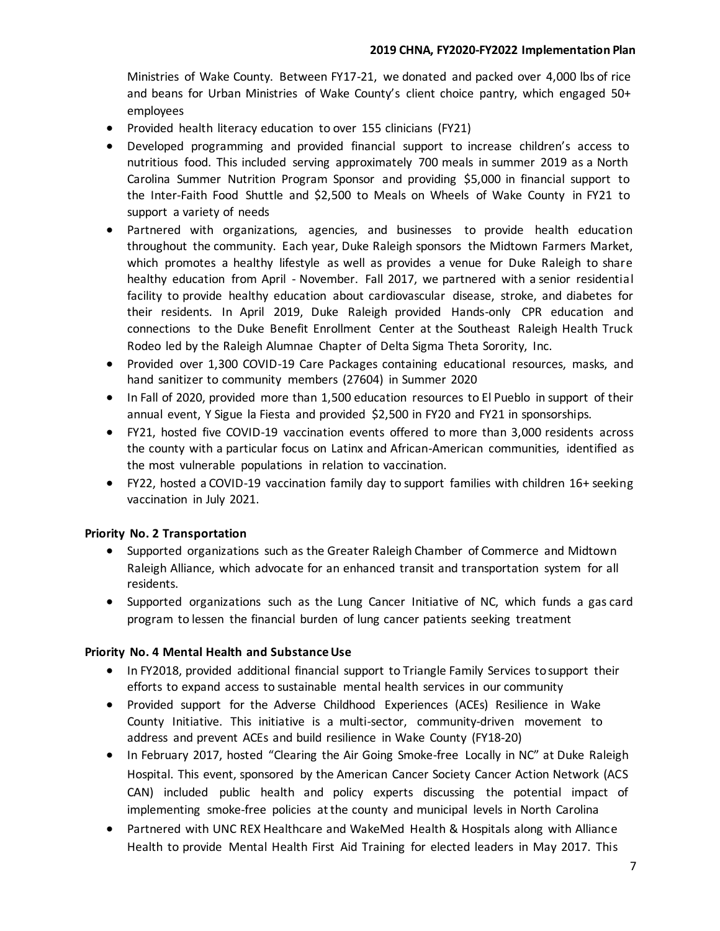Ministries of Wake County. Between FY17-21, we donated and packed over 4,000 lbs of rice and beans for Urban Ministries of Wake County's client choice pantry, which engaged 50+ employees

- Provided health literacy education to over 155 clinicians (FY21)
- Developed programming and provided financial support to increase children's access to nutritious food. This included serving approximately 700 meals in summer 2019 as a North Carolina Summer Nutrition Program Sponsor and providing \$5,000 in financial support to the Inter-Faith Food Shuttle and \$2,500 to Meals on Wheels of Wake County in FY21 to support a variety of needs
- Partnered with organizations, agencies, and businesses to provide health education throughout the community. Each year, Duke Raleigh sponsors the Midtown Farmers Market, which promotes a healthy lifestyle as well as provides a venue for Duke Raleigh to share healthy education from April - November. Fall 2017, we partnered with a senior residential facility to provide healthy education about cardiovascular disease, stroke, and diabetes for their residents. In April 2019, Duke Raleigh provided Hands-only CPR education and connections to the Duke Benefit Enrollment Center at the Southeast Raleigh Health Truck Rodeo led by the Raleigh Alumnae Chapter of Delta Sigma Theta Sorority, Inc.
- Provided over 1,300 COVID-19 Care Packages containing educational resources, masks, and hand sanitizer to community members (27604) in Summer 2020
- In Fall of 2020, provided more than 1,500 education resources to El Pueblo in support of their annual event, Y Sigue la Fiesta and provided \$2,500 in FY20 and FY21 in sponsorships.
- FY21, hosted five COVID-19 vaccination events offered to more than 3,000 residents across the county with a particular focus on Latinx and African-American communities, identified as the most vulnerable populations in relation to vaccination.
- FY22, hosted a COVID-19 vaccination family day to support families with children 16+ seeking vaccination in July 2021.

# **Priority No. 2 Transportation**

- Supported organizations such as the Greater Raleigh Chamber of Commerce and Midtown Raleigh Alliance, which advocate for an enhanced transit and transportation system for all residents.
- Supported organizations such as the Lung Cancer Initiative of NC, which funds a gas card program to lessen the financial burden of lung cancer patients seeking treatment

# **Priority No. 4 Mental Health and Substance Use**

- In FY2018, provided additional financial support to Triangle Family Services tosupport their efforts to expand access to sustainable mental health services in our community
- Provided support for the Adverse Childhood Experiences (ACEs) Resilience in Wake County Initiative. This initiative is a multi-sector, community-driven movement to address and prevent ACEs and build resilience in Wake County (FY18-20)
- In February 2017, hosted "Clearing the Air Going Smoke-free Locally in NC" at Duke Raleigh Hospital. This event, sponsored by the American Cancer Society Cancer Action Network (ACS CAN) included public health and policy experts discussing the potential impact of implementing smoke-free policies at the county and municipal levels in North Carolina
- Partnered with UNC REX Healthcare and WakeMed Health & Hospitals along with Alliance Health to provide Mental Health First Aid Training for elected leaders in May 2017. This